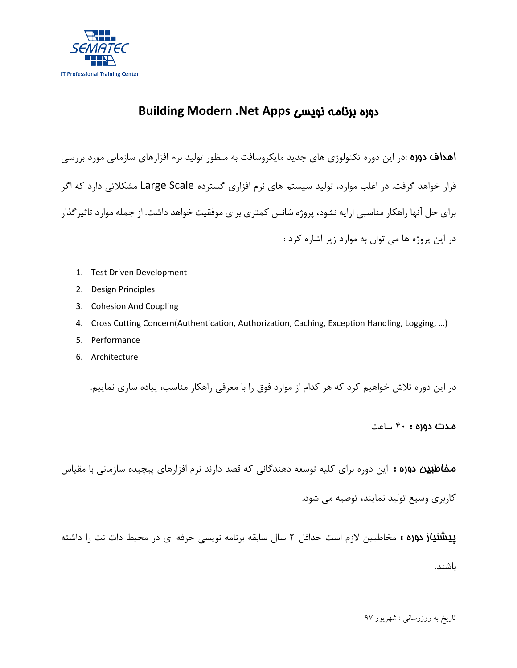

# **Building Modern .Net Apps** نویسی برنامه دوره

اهداف دوره :در این دوره تکنولوژي هاي جدید مایکروسافت به منظور تولید نرم افزارهاي سازمانی مورد بررسی قرار خواهد گرفت. در اغلب موارد، تولید سیستم هاي نرم افزاري گسترده Scale Large مشکلاتی دارد که اگر براي حل آنها راهکار مناسبی ارایه نشود، پروژه شانس کمتري براي موفقیت خواهد داشت. از جمله موارد تاثیرگذار در این پروژه ها می توان به موارد زیر اشاره کرد :

- 1. Test Driven Development
- 2. Design Principles
- 3. Cohesion And Coupling
- 4. Cross Cutting Concern(Authentication, Authorization, Caching, Exception Handling, Logging, …)
- 5. Performance
- 6. Architecture

در این دوره تلاش خواهیم کرد که هر کدام از موارد فوق را با معرفی راهکار مناسب، پیاده سازي نماییم.

### مدت دوره : 40 ساعت

مخاطبین دوره :این دوره براي کلیه توسعه دهندگانی که قصد دارند نرم افزارهاي پیچیده سازمانی با مقیاس

کاربري وسیع تولید نمایند، توصیه می شود.

پیشنیاز دوره : مخاطبین لازم است حداقل 2 سال سابقه برنامه نویسی حرفه اي در محیط دات نت را داشته

باشند.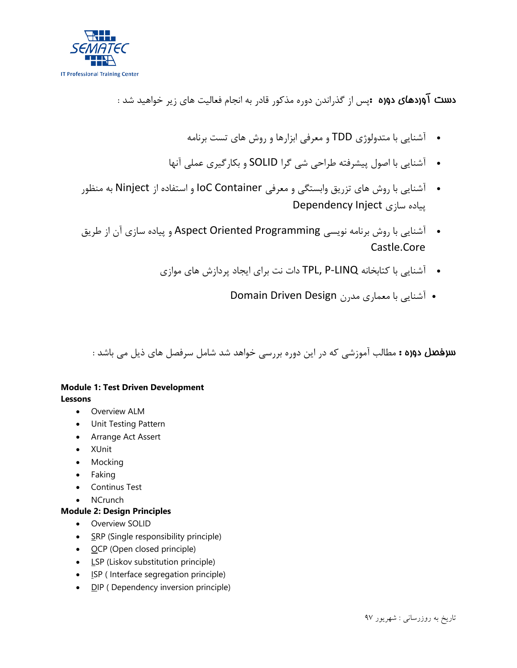

دست آوردهاي دوره :پس از گذراندن دوره مذکور قادر به انجام فعالیت هاي زیر خواهید شد :

- آشنایی با متدولوژي TDD و معرفی ابزارها و روش هاي تست برنامه
- آشنایی با اصول پیشرفته طراحی شی گرا SOLID و بکارگیري عملی آنها
- آشنایی با روش هاي تزریق وابستگی و معرفی Container IoC و استفاده از Ninject به منظور پیاده سازي Inject Dependency
- آشنایی با روش برنامه نویسی Programming Oriented Aspect و پیاده سازي آن از طریق Castle.Core
	- آشنایی با کتابخانه LINQ-P ,TPL دات نت براي ایجاد پردازش هاي موازي
		- آشنایی با معماري مدرن Design Driven Domain

سرفصل دوره : مطالب آموزشی که در این دوره بررسی خواهد شد شامل سرفصل هاي ذیل می باشد :

## **Module 1: Test Driven Development Lessons**

- Overview ALM
- Unit Testing Pattern
- Arrange Act Assert
- XUnit
- Mocking
- Faking
- Continus Test
- NCrunch

## **Module 2: Design Principles**

- Overview SOLID
- SRP (Single responsibility principle)
- OCP (Open closed principle)
- LSP (Liskov substitution principle)
- ISP ( Interface segregation principle)
- **DIP** ( Dependency inversion principle)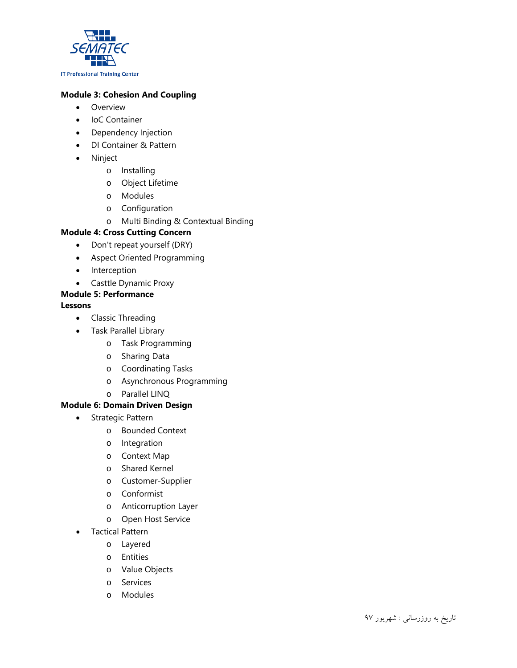

## **Module 3: Cohesion And Coupling**

- Overview
- IoC Container
- Dependency Injection
- DI Container & Pattern
- Ninject
	- o Installing
	- o Object Lifetime
	- o Modules
	- o Configuration

#### o Multi Binding & Contextual Binding

#### **Module 4: Cross Cutting Concern**

- Don't repeat yourself (DRY)
- Aspect Oriented Programming
- Interception
- Casttle Dynamic Proxy

## **Module 5: Performance**

#### **Lessons**

- Classic Threading
- Task Parallel Library
	- o Task Programming
	- o Sharing Data
	- o Coordinating Tasks
	- o Asynchronous Programming
	- o Parallel LINQ

#### **Module 6: Domain Driven Design**

- Strategic Pattern
	- o Bounded Context
	- o Integration
	- o Context Map
	- o Shared Kernel
	- o Customer-Supplier
	- o Conformist
	- o Anticorruption Layer
	- o Open Host Service
- Tactical Pattern
	- o Layered
	- o Entities
	- o Value Objects
	- o Services
	- o Modules